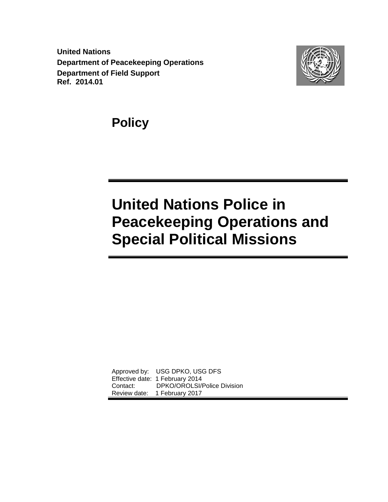**United Nations Department of Peacekeeping Operations Department of Field Support Ref. 2014.01**



**Policy** 

# **United Nations Police in Peacekeeping Operations and Special Political Missions**

Approved by: USG DPKO, USG DFS Effective date: 1 February 2014 Contact: DPKO/OROLSI/Police Division Review date: 1 February 2017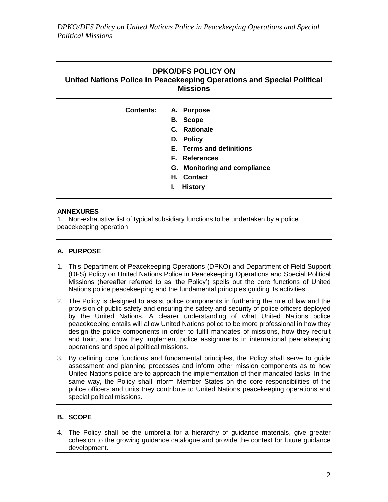| Contents: A. Purpose         |  |
|------------------------------|--|
| <b>B.</b> Scope              |  |
| C. Rationale                 |  |
| D. Policy                    |  |
| E. Terms and definitions     |  |
| <b>F.</b> References         |  |
| G. Monitoring and compliance |  |
| H. Contact                   |  |
| <b>History</b><br>ı.         |  |
|                              |  |

# **ANNEXURES**

1. Non-exhaustive list of typical subsidiary functions to be undertaken by a police peacekeeping operation

# **A. PURPOSE**

- 1. This Department of Peacekeeping Operations (DPKO) and Department of Field Support (DFS) Policy on United Nations Police in Peacekeeping Operations and Special Political Missions (hereafter referred to as 'the Policy') spells out the core functions of United Nations police peacekeeping and the fundamental principles guiding its activities.
- 2. The Policy is designed to assist police components in furthering the rule of law and the provision of public safety and ensuring the safety and security of police officers deployed by the United Nations. A clearer understanding of what United Nations police peacekeeping entails will allow United Nations police to be more professional in how they design the police components in order to fulfil mandates of missions, how they recruit and train, and how they implement police assignments in international peacekeeping operations and special political missions.
- 3. By defining core functions and fundamental principles, the Policy shall serve to guide assessment and planning processes and inform other mission components as to how United Nations police are to approach the implementation of their mandated tasks. In the same way, the Policy shall inform Member States on the core responsibilities of the police officers and units they contribute to United Nations peacekeeping operations and special political missions.

# **B. SCOPE**

4. The Policy shall be the umbrella for a hierarchy of guidance materials, give greater cohesion to the growing guidance catalogue and provide the context for future guidance development.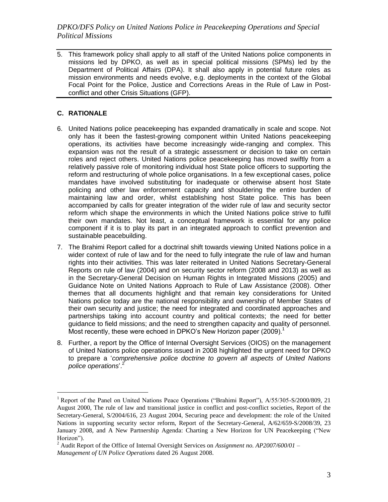5. This framework policy shall apply to all staff of the United Nations police components in missions led by DPKO, as well as in special political missions (SPMs) led by the Department of Political Affairs (DPA). It shall also apply in potential future roles as mission environments and needs evolve, e.g. deployments in the context of the Global Focal Point for the Police, Justice and Corrections Areas in the Rule of Law in Postconflict and other Crisis Situations (GFP).

# **C. RATIONALE**

- 6. United Nations police peacekeeping has expanded dramatically in scale and scope. Not only has it been the fastest-growing component within United Nations peacekeeping operations, its activities have become increasingly wide-ranging and complex. This expansion was not the result of a strategic assessment or decision to take on certain roles and reject others. United Nations police peacekeeping has moved swiftly from a relatively passive role of monitoring individual host State police officers to supporting the reform and restructuring of whole police organisations. In a few exceptional cases, police mandates have involved substituting for inadequate or otherwise absent host State policing and other law enforcement capacity and shouldering the entire burden of maintaining law and order, whilst establishing host State police. This has been accompanied by calls for greater integration of the wider rule of law and security sector reform which shape the environments in which the United Nations police strive to fulfil their own mandates. Not least, a conceptual framework is essential for any police component if it is to play its part in an integrated approach to conflict prevention and sustainable peacebuilding.
- 7. The Brahimi Report called for a doctrinal shift towards viewing United Nations police in a wider context of rule of law and for the need to fully integrate the rule of law and human rights into their activities. This was later reiterated in United Nations Secretary-General Reports on rule of law (2004) and on security sector reform (2008 and 2013) as well as in the Secretary-General Decision on Human Rights in Integrated Missions (2005) and Guidance Note on United Nations Approach to Rule of Law Assistance (2008). Other themes that all documents highlight and that remain key considerations for United Nations police today are the national responsibility and ownership of Member States of their own security and justice; the need for integrated and coordinated approaches and partnerships taking into account country and political contexts; the need for better guidance to field missions; and the need to strengthen capacity and quality of personnel. Most recently, these were echoed in DPKO's New Horizon paper (2009).<sup>1</sup>
- 8. Further, a report by the Office of Internal Oversight Services (OIOS) on the management of United Nations police operations issued in 2008 highlighted the urgent need for DPKO to prepare a '*comprehensive police doctrine to govern all aspects of United Nations police operations*'. 2

<sup>&</sup>lt;sup>1</sup> Report of the Panel on United Nations Peace Operations ("Brahimi Report"), A/55/305-S/2000/809, 21 August 2000, The rule of law and transitional justice in conflict and post-conflict societies, Report of the Secretary-General, S/2004/616, 23 August 2004, Securing peace and development: the role of the United Nations in supporting security sector reform, Report of the Secretary-General, A/62/659-S/2008/39, 23 January 2008, and A New Partnership Agenda: Charting a New Horizon for UN Peacekeeping ("New Horizon").

<sup>2</sup> Audit Report of the Office of Internal Oversight Services on *Assignment no. AP2007/600/01 – Management of UN Police Operations* dated 26 August 2008.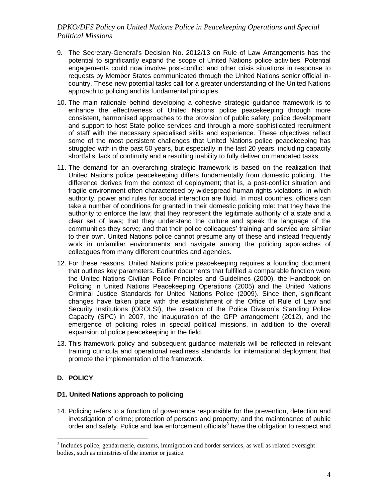- 9. The Secretary-General's Decision No. 2012/13 on Rule of Law Arrangements has the potential to significantly expand the scope of United Nations police activities. Potential engagements could now involve post-conflict and other crisis situations in response to requests by Member States communicated through the United Nations senior official incountry. These new potential tasks call for a greater understanding of the United Nations approach to policing and its fundamental principles.
- 10. The main rationale behind developing a cohesive strategic guidance framework is to enhance the effectiveness of United Nations police peacekeeping through more consistent, harmonised approaches to the provision of public safety, police development and support to host State police services and through a more sophisticated recruitment of staff with the necessary specialised skills and experience. These objectives reflect some of the most persistent challenges that United Nations police peacekeeping has struggled with in the past 50 years, but especially in the last 20 years, including capacity shortfalls, lack of continuity and a resulting inability to fully deliver on mandated tasks.
- 11. The demand for an overarching strategic framework is based on the realization that United Nations police peacekeeping differs fundamentally from domestic policing. The difference derives from the context of deployment; that is, a post-conflict situation and fragile environment often characterised by widespread human rights violations, in which authority, power and rules for social interaction are fluid. In most countries, officers can take a number of conditions for granted in their domestic policing role: that they have the authority to enforce the law; that they represent the legitimate authority of a state and a clear set of laws; that they understand the culture and speak the language of the communities they serve; and that their police colleagues' training and service are similar to their own. United Nations police cannot presume any of these and instead frequently work in unfamiliar environments and navigate among the policing approaches of colleagues from many different countries and agencies.
- 12. For these reasons, United Nations police peacekeeping requires a founding document that outlines key parameters. Earlier documents that fulfilled a comparable function were the United Nations Civilian Police Principles and Guidelines (2000), the Handbook on Policing in United Nations Peacekeeping Operations (2005) and the United Nations Criminal Justice Standards for United Nations Police (2009). Since then, significant changes have taken place with the establishment of the Office of Rule of Law and Security Institutions (OROLSI), the creation of the Police Division's Standing Police Capacity (SPC) in 2007, the inauguration of the GFP arrangement (2012), and the emergence of policing roles in special political missions, in addition to the overall expansion of police peacekeeping in the field.
- 13. This framework policy and subsequent guidance materials will be reflected in relevant training curricula and operational readiness standards for international deployment that promote the implementation of the framework.

# **D. POLICY**

 $\overline{a}$ 

### **D1. United Nations approach to policing**

14. Policing refers to a function of governance responsible for the prevention, detection and investigation of crime; protection of persons and property; and the maintenance of public order and safety. Police and law enforcement officials<sup>3</sup> have the obligation to respect and

 $3$  Includes police, gendarmerie, customs, immigration and border services, as well as related oversight bodies, such as ministries of the interior or justice.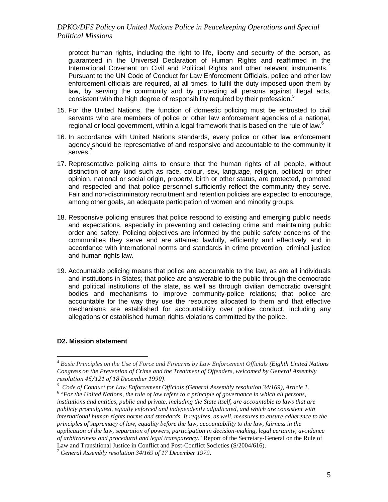protect human rights, including the right to life, liberty and security of the person, as guaranteed in the Universal Declaration of Human Rights and reaffirmed in the International Covenant on Civil and Political Rights and other relevant instruments.<sup>4</sup> Pursuant to the UN Code of Conduct for Law Enforcement Officials, police and other law enforcement officials are required, at all times, to fulfil the duty imposed upon them by law, by serving the community and by protecting all persons against illegal acts, consistent with the high degree of responsibility required by their profession.<sup>5</sup>

- 15. For the United Nations, the function of domestic policing must be entrusted to civil servants who are members of police or other law enforcement agencies of a national, regional or local government, within a legal framework that is based on the rule of law.<sup>6</sup>
- 16. In accordance with United Nations standards, every police or other law enforcement agency should be representative of and responsive and accountable to the community it serves.<sup>7</sup>
- 17. Representative policing aims to ensure that the human rights of all people, without distinction of any kind such as race, colour, sex, language, religion, political or other opinion, national or social origin, property, birth or other status, are protected, promoted and respected and that police personnel sufficiently reflect the community they serve. Fair and non-discriminatory recruitment and retention policies are expected to encourage, among other goals, an adequate participation of women and minority groups.
- 18. Responsive policing ensures that police respond to existing and emerging public needs and expectations, especially in preventing and detecting crime and maintaining public order and safety. Policing objectives are informed by the public safety concerns of the communities they serve and are attained lawfully, efficiently and effectively and in accordance with international norms and standards in crime prevention, criminal justice and human rights law.
- 19. Accountable policing means that police are accountable to the law, as are all individuals and institutions in States; that police are answerable to the public through the democratic and political institutions of the state, as well as through civilian democratic oversight bodies and mechanisms to improve community-police relations; that police are accountable for the way they use the resources allocated to them and that effective mechanisms are established for accountability over police conduct, including any allegations or established human rights violations committed by the police.

#### **D2. Mission statement**

<sup>4</sup> *Basic Principles on the Use of Force and Firearms by Law Enforcement Officials (Eighth United Nations Congress on the Prevention of Crime and the Treatment of Offenders, welcomed by General Assembly resolution 45/121 of 18 December 1990)*.

*<sup>5</sup> Code of Conduct for Law Enforcement Officials (General Assembly resolution 34/169), Article 1.*

<sup>&</sup>lt;sup>6</sup> "For the United Nations, the rule of law refers to a principle of governance in which all persons, *institutions and entities, public and private, including the State itself, are accountable to laws that are publicly promulgated, equally enforced and independently adjudicated, and which are consistent with international human rights norms and standards. It requires, as well, measures to ensure adherence to the principles of supremacy of law, equality before the law, accountability to the law, fairness in the application of the law, separation of powers, participation in decision-making, legal certainty, avoidance of arbitrariness and procedural and legal transparency*." Report of the Secretary-General on the Rule of Law and Transitional Justice in Conflict and Post-Conflict Societies (S/2004/616).

<sup>7</sup> *General Assembly resolution 34/169 of 17 December 1979*.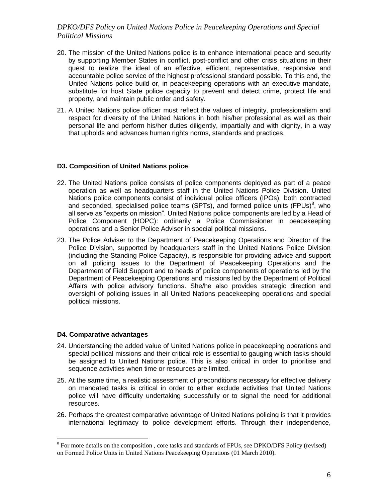- 20. The mission of the United Nations police is to enhance international peace and security by supporting Member States in conflict, post-conflict and other crisis situations in their quest to realize the ideal of an effective, efficient, representative, responsive and accountable police service of the highest professional standard possible. To this end, the United Nations police build or, in peacekeeping operations with an executive mandate, substitute for host State police capacity to prevent and detect crime, protect life and property, and maintain public order and safety.
- 21. A United Nations police officer must reflect the values of integrity, professionalism and respect for diversity of the United Nations in both his/her professional as well as their personal life and perform his/her duties diligently, impartially and with dignity, in a way that upholds and advances human rights norms, standards and practices.

#### **D3. Composition of United Nations police**

- 22. The United Nations police consists of police components deployed as part of a peace operation as well as headquarters staff in the United Nations Police Division. United Nations police components consist of individual police officers (IPOs), both contracted and seconded, specialised police teams (SPTs), and formed police units (FPUs)<sup>8</sup>, who all serve as "experts on mission". United Nations police components are led by a Head of Police Component (HOPC): ordinarily a Police Commissioner in peacekeeping operations and a Senior Police Adviser in special political missions.
- 23. The Police Adviser to the Department of Peacekeeping Operations and Director of the Police Division, supported by headquarters staff in the United Nations Police Division (including the Standing Police Capacity), is responsible for providing advice and support on all policing issues to the Department of Peacekeeping Operations and the Department of Field Support and to heads of police components of operations led by the Department of Peacekeeping Operations and missions led by the Department of Political Affairs with police advisory functions. She/he also provides strategic direction and oversight of policing issues in all United Nations peacekeeping operations and special political missions.

#### **D4. Comparative advantages**

- 24. Understanding the added value of United Nations police in peacekeeping operations and special political missions and their critical role is essential to gauging which tasks should be assigned to United Nations police. This is also critical in order to prioritise and sequence activities when time or resources are limited.
- 25. At the same time, a realistic assessment of preconditions necessary for effective delivery on mandated tasks is critical in order to either exclude activities that United Nations police will have difficulty undertaking successfully or to signal the need for additional resources.
- 26. Perhaps the greatest comparative advantage of United Nations policing is that it provides international legitimacy to police development efforts. Through their independence,

<sup>&</sup>lt;sup>8</sup> For more details on the composition, core tasks and standards of FPUs, see DPKO/DFS Policy (revised) on Formed Police Units in United Nations Peacekeeping Operations (01 March 2010).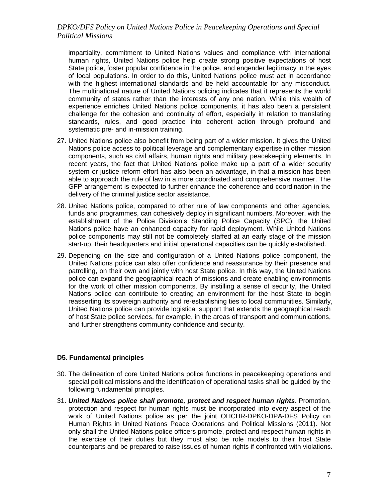impartiality, commitment to United Nations values and compliance with international human rights, United Nations police help create strong positive expectations of host State police, foster popular confidence in the police, and engender legitimacy in the eyes of local populations. In order to do this, United Nations police must act in accordance with the highest international standards and be held accountable for any misconduct. The multinational nature of United Nations policing indicates that it represents the world community of states rather than the interests of any one nation. While this wealth of experience enriches United Nations police components, it has also been a persistent challenge for the cohesion and continuity of effort, especially in relation to translating standards, rules, and good practice into coherent action through profound and systematic pre- and in-mission training.

- 27. United Nations police also benefit from being part of a wider mission. It gives the United Nations police access to political leverage and complementary expertise in other mission components, such as civil affairs, human rights and military peacekeeping elements. In recent years, the fact that United Nations police make up a part of a wider security system or justice reform effort has also been an advantage, in that a mission has been able to approach the rule of law in a more coordinated and comprehensive manner. The GFP arrangement is expected to further enhance the coherence and coordination in the delivery of the criminal justice sector assistance.
- 28. United Nations police, compared to other rule of law components and other agencies, funds and programmes, can cohesively deploy in significant numbers. Moreover, with the establishment of the Police Division's Standing Police Capacity (SPC), the United Nations police have an enhanced capacity for rapid deployment. While United Nations police components may still not be completely staffed at an early stage of the mission start-up, their headquarters and initial operational capacities can be quickly established.
- 29. Depending on the size and configuration of a United Nations police component, the United Nations police can also offer confidence and reassurance by their presence and patrolling, on their own and jointly with host State police. In this way, the United Nations police can expand the geographical reach of missions and create enabling environments for the work of other mission components. By instilling a sense of security, the United Nations police can contribute to creating an environment for the host State to begin reasserting its sovereign authority and re-establishing ties to local communities. Similarly, United Nations police can provide logistical support that extends the geographical reach of host State police services, for example, in the areas of transport and communications, and further strengthens community confidence and security.

### **D5. Fundamental principles**

- 30. The delineation of core United Nations police functions in peacekeeping operations and special political missions and the identification of operational tasks shall be guided by the following fundamental principles.
- 31. *United Nations police shall promote, protect and respect human rights***.** Promotion, protection and respect for human rights must be incorporated into every aspect of the work of United Nations police as per the joint OHCHR-DPKO-DPA-DFS Policy on Human Rights in United Nations Peace Operations and Political Missions (2011). Not only shall the United Nations police officers promote, protect and respect human rights in the exercise of their duties but they must also be role models to their host State counterparts and be prepared to raise issues of human rights if confronted with violations.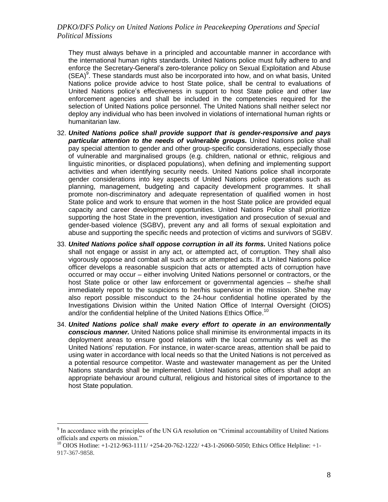They must always behave in a principled and accountable manner in accordance with the international human rights standards. United Nations police must fully adhere to and enforce the Secretary-General's zero-tolerance policy on Sexual Exploitation and Abuse  $(SEA)^9$ . These standards must also be incorporated into how, and on what basis, United Nations police provide advice to host State police, shall be central to evaluations of United Nations police's effectiveness in support to host State police and other law enforcement agencies and shall be included in the competencies required for the selection of United Nations police personnel. The United Nations shall neither select nor deploy any individual who has been involved in violations of international human rights or humanitarian law.

- 32. *United Nations police shall provide support that is gender-responsive and pays particular attention to the needs of vulnerable groups.* United Nations police shall pay special attention to gender and other group-specific considerations, especially those of vulnerable and marginalised groups (e.g. children, national or ethnic, religious and linguistic minorities, or displaced populations), when defining and implementing support activities and when identifying security needs. United Nations police shall incorporate gender considerations into key aspects of United Nations police operations such as planning, management, budgeting and capacity development programmes. It shall promote non-discriminatory and adequate representation of qualified women in host State police and work to ensure that women in the host State police are provided equal capacity and career development opportunities. United Nations Police shall prioritize supporting the host State in the prevention, investigation and prosecution of sexual and gender-based violence (SGBV), prevent any and all forms of sexual exploitation and abuse and supporting the specific needs and protection of victims and survivors of SGBV.
- 33. *United Nations police shall oppose corruption in all its forms.* United Nations police shall not engage or assist in any act, or attempted act, of corruption. They shall also vigorously oppose and combat all such acts or attempted acts. If a United Nations police officer develops a reasonable suspicion that acts or attempted acts of corruption have occurred or may occur – either involving United Nations personnel or contractors, or the host State police or other law enforcement or governmental agencies – she/he shall immediately report to the suspicions to her/his supervisor in the mission. She/he may also report possible misconduct to the 24-hour confidential hotline operated by the Investigations Division within the United Nation Office of Internal Oversight (OIOS) and/or the confidential helpline of the United Nations Ethics Office.<sup>10</sup>
- 34. *United Nations police shall make every effort to operate in an environmentally conscious manner.* United Nations police shall minimise its environmental impacts in its deployment areas to ensure good relations with the local community as well as the United Nations' reputation. For instance, in water-scarce areas, attention shall be paid to using water in accordance with local needs so that the United Nations is not perceived as a potential resource competitor. Waste and wastewater management as per the United Nations standards shall be implemented. United Nations police officers shall adopt an appropriate behaviour around cultural, religious and historical sites of importance to the host State population.

<sup>&</sup>lt;sup>9</sup> In accordance with the principles of the UN GA resolution on "Criminal accountability of United Nations" officials and experts on mission."

<sup>10</sup> OIOS Hotline: +1-212-963-1111/ +254-20-762-1222/ +43-1-26060-5050; Ethics Office Helpline: +1- 917-367-9858.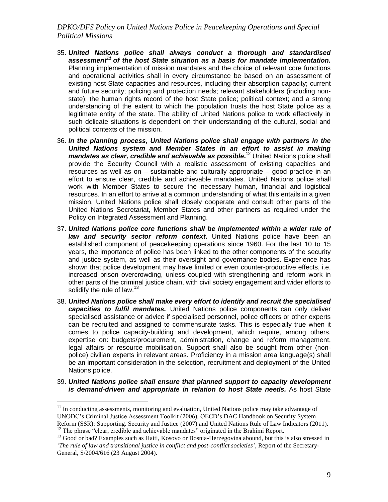- 35. *United Nations police shall always conduct a thorough and standardised assessment<sup>11</sup> of the host State situation as a basis for mandate implementation.* Planning implementation of mission mandates and the choice of relevant core functions and operational activities shall in every circumstance be based on an assessment of existing host State capacities and resources, including their absorption capacity; current and future security; policing and protection needs; relevant stakeholders (including nonstate); the human rights record of the host State police; political context; and a strong understanding of the extent to which the population trusts the host State police as a legitimate entity of the state. The ability of United Nations police to work effectively in such delicate situations is dependent on their understanding of the cultural, social and political contexts of the mission.
- 36. *In the planning process, United Nations police shall engage with partners in the United Nations system and Member States in an effort to assist in making mandates as clear, credible and achievable as possible.<sup>12</sup> United Nations police shall* provide the Security Council with a realistic assessment of existing capacities and resources as well as on – sustainable and culturally appropriate – good practice in an effort to ensure clear, credible and achievable mandates. United Nations police shall work with Member States to secure the necessary human, financial and logistical resources. In an effort to arrive at a common understanding of what this entails in a given mission, United Nations police shall closely cooperate and consult other parts of the United Nations Secretariat, Member States and other partners as required under the Policy on Integrated Assessment and Planning.
- 37. *United Nations police core functions shall be implemented within a wider rule of law and security sector reform context***.** United Nations police have been an established component of peacekeeping operations since 1960. For the last 10 to 15 years, the importance of police has been linked to the other components of the security and justice system, as well as their oversight and governance bodies. Experience has shown that police development may have limited or even counter-productive effects, i.e. increased prison overcrowding, unless coupled with strengthening and reform work in other parts of the criminal justice chain, with civil society engagement and wider efforts to solidify the rule of law.<sup>13</sup>
- 38. *United Nations police shall make every effort to identify and recruit the specialised capacities to fulfil mandates.* United Nations police components can only deliver specialised assistance or advice if specialised personnel, police officers or other experts can be recruited and assigned to commensurate tasks. This is especially true when it comes to police capacity-building and development, which require, among others, expertise on: budgets/procurement, administration, change and reform management, legal affairs or resource mobilisation. Support shall also be sought from other (nonpolice) civilian experts in relevant areas. Proficiency in a mission area language(s) shall be an important consideration in the selection, recruitment and deployment of the United Nations police.
- 39. *United Nations police shall ensure that planned support to capacity development is demand-driven and appropriate in relation to host State needs.* As host State

 $11$  In conducting assessments, monitoring and evaluation, United Nations police may take advantage of UNODC's Criminal Justice Assessment Toolkit (2006), OECD's DAC Handbook on Security System Reform (SSR): Supporting. Security and Justice (2007) and United Nations Rule of Law Indicators (2011). <sup>12</sup> The phrase "clear, credible and achievable mandates" originated in the Brahimi Report.

<sup>&</sup>lt;sup>13</sup> Good or bad? Examples such as Haiti, Kosovo or Bosnia-Herzegovina abound, but this is also stressed in *'The rule of law and transitional justice in conflict and post-conflict societies'*, Report of the Secretary-General, S/2004/616 (23 August 2004).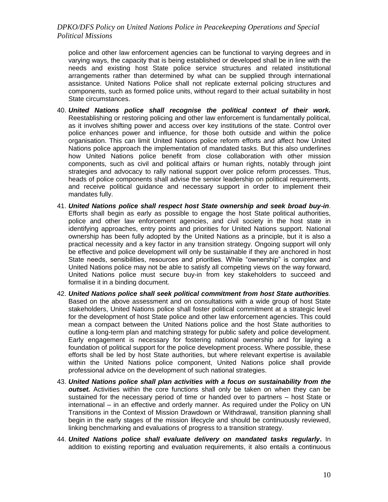police and other law enforcement agencies can be functional to varying degrees and in varying ways, the capacity that is being established or developed shall be in line with the needs and existing host State police service structures and related institutional arrangements rather than determined by what can be supplied through international assistance. United Nations Police shall not replicate external policing structures and components, such as formed police units, without regard to their actual suitability in host State circumstances.

- 40. *United Nations police shall recognise the political context of their work.* Reestablishing or restoring policing and other law enforcement is fundamentally political, as it involves shifting power and access over key institutions of the state. Control over police enhances power and influence, for those both outside and within the police organisation. This can limit United Nations police reform efforts and affect how United Nations police approach the implementation of mandated tasks. But this also underlines how United Nations police benefit from close collaboration with other mission components, such as civil and political affairs or human rights, notably through joint strategies and advocacy to rally national support over police reform processes. Thus, heads of police components shall advise the senior leadership on political requirements, and receive political guidance and necessary support in order to implement their mandates fully.
- 41. *United Nations police shall respect host State ownership and seek broad buy-in*. Efforts shall begin as early as possible to engage the host State political authorities, police and other law enforcement agencies, and civil society in the host state in identifying approaches, entry points and priorities for United Nations support. National ownership has been fully adopted by the United Nations as a principle, but it is also a practical necessity and a key factor in any transition strategy. Ongoing support will only be effective and police development will only be sustainable if they are anchored in host State needs, sensibilities, resources and priorities. While "ownership" is complex and United Nations police may not be able to satisfy all competing views on the way forward, United Nations police must secure buy-in from key stakeholders to succeed and formalise it in a binding document.
- 42. *United Nations police shall seek political commitment from host State authorities.* Based on the above assessment and on consultations with a wide group of host State stakeholders, United Nations police shall foster political commitment at a strategic level for the development of host State police and other law enforcement agencies. This could mean a compact between the United Nations police and the host State authorities to outline a long-term plan and matching strategy for public safety and police development. Early engagement is necessary for fostering national ownership and for laying a foundation of political support for the police development process. Where possible, these efforts shall be led by host State authorities, but where relevant expertise is available within the United Nations police component, United Nations police shall provide professional advice on the development of such national strategies.
- 43. *United Nations police shall plan activities with a focus on sustainability from the outset.* Activities within the core functions shall only be taken on when they can be sustained for the necessary period of time or handed over to partners – host State or international – in an effective and orderly manner. As required under the Policy on UN Transitions in the Context of Mission Drawdown or Withdrawal, transition planning shall begin in the early stages of the mission lifecycle and should be continuously reviewed, linking benchmarking and evaluations of progress to a transition strategy.
- 44. *United Nations police shall evaluate delivery on mandated tasks regularly***.** In addition to existing reporting and evaluation requirements, it also entails a continuous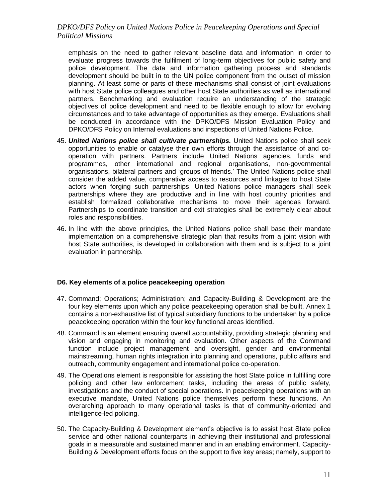emphasis on the need to gather relevant baseline data and information in order to evaluate progress towards the fulfilment of long-term objectives for public safety and police development. The data and information gathering process and standards development should be built in to the UN police component from the outset of mission planning. At least some or parts of these mechanisms shall consist of joint evaluations with host State police colleagues and other host State authorities as well as international partners. Benchmarking and evaluation require an understanding of the strategic objectives of police development and need to be flexible enough to allow for evolving circumstances and to take advantage of opportunities as they emerge. Evaluations shall be conducted in accordance with the DPKO/DFS Mission Evaluation Policy and DPKO/DFS Policy on Internal evaluations and inspections of United Nations Police.

- 45. *United Nations police shall cultivate partnerships.* United Nations police shall seek opportunities to enable or catalyse their own efforts through the assistance of and cooperation with partners. Partners include United Nations agencies, funds and programmes, other international and regional organisations, non-governmental organisations, bilateral partners and 'groups of friends.' The United Nations police shall consider the added value, comparative access to resources and linkages to host State actors when forging such partnerships. United Nations police managers shall seek partnerships where they are productive and in line with host country priorities and establish formalized collaborative mechanisms to move their agendas forward. Partnerships to coordinate transition and exit strategies shall be extremely clear about roles and responsibilities.
- 46. In line with the above principles, the United Nations police shall base their mandate implementation on a comprehensive strategic plan that results from a joint vision with host State authorities, is developed in collaboration with them and is subject to a joint evaluation in partnership.

#### **D6. Key elements of a police peacekeeping operation**

- 47. Command; Operations; Administration; and Capacity-Building & Development are the four key elements upon which any police peacekeeping operation shall be built. Annex 1 contains a non-exhaustive list of typical subsidiary functions to be undertaken by a police peacekeeping operation within the four key functional areas identified.
- 48. Command is an element ensuring overall accountability, providing strategic planning and vision and engaging in monitoring and evaluation. Other aspects of the Command function include project management and oversight, gender and environmental mainstreaming, human rights integration into planning and operations, public affairs and outreach, community engagement and international police co-operation.
- 49. The Operations element is responsible for assisting the host State police in fulfilling core policing and other law enforcement tasks, including the areas of public safety, investigations and the conduct of special operations. In peacekeeping operations with an executive mandate, United Nations police themselves perform these functions. An overarching approach to many operational tasks is that of community-oriented and intelligence-led policing.
- 50. The Capacity-Building & Development element's objective is to assist host State police service and other national counterparts in achieving their institutional and professional goals in a measurable and sustained manner and in an enabling environment. Capacity-Building & Development efforts focus on the support to five key areas; namely, support to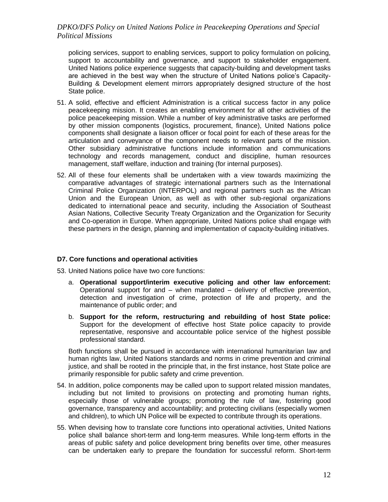policing services, support to enabling services, support to policy formulation on policing, support to accountability and governance, and support to stakeholder engagement. United Nations police experience suggests that capacity-building and development tasks are achieved in the best way when the structure of United Nations police's Capacity-Building & Development element mirrors appropriately designed structure of the host State police.

- 51. A solid, effective and efficient Administration is a critical success factor in any police peacekeeping mission. It creates an enabling environment for all other activities of the police peacekeeping mission. While a number of key administrative tasks are performed by other mission components (logistics, procurement, finance), United Nations police components shall designate a liaison officer or focal point for each of these areas for the articulation and conveyance of the component needs to relevant parts of the mission. Other subsidiary administrative functions include information and communications technology and records management, conduct and discipline, human resources management, staff welfare, induction and training (for internal purposes).
- 52. All of these four elements shall be undertaken with a view towards maximizing the comparative advantages of strategic international partners such as the International Criminal Police Organization (INTERPOL) and regional partners such as the African Union and the European Union, as well as with other sub-regional organizations dedicated to international peace and security, including the Association of Southeast Asian Nations, Collective Security Treaty Organization and the Organization for Security and Co-operation in Europe. When appropriate, United Nations police shall engage with these partners in the design, planning and implementation of capacity-building initiatives.

#### **D7. Core functions and operational activities**

- 53. United Nations police have two core functions:
	- a. **Operational support/interim executive policing and other law enforcement:** Operational support for and – when mandated – delivery of effective prevention, detection and investigation of crime, protection of life and property, and the maintenance of public order; and
	- b. **Support for the reform, restructuring and rebuilding of host State police:** Support for the development of effective host State police capacity to provide representative, responsive and accountable police service of the highest possible professional standard.

Both functions shall be pursued in accordance with international humanitarian law and human rights law, United Nations standards and norms in crime prevention and criminal justice, and shall be rooted in the principle that, in the first instance, host State police are primarily responsible for public safety and crime prevention.

- 54. In addition, police components may be called upon to support related mission mandates, including but not limited to provisions on protecting and promoting human rights, especially those of vulnerable groups; promoting the rule of law, fostering good governance, transparency and accountability; and protecting civilians (especially women and children), to which UN Police will be expected to contribute through its operations.
- 55. When devising how to translate core functions into operational activities, United Nations police shall balance short-term and long-term measures. While long-term efforts in the areas of public safety and police development bring benefits over time, other measures can be undertaken early to prepare the foundation for successful reform. Short-term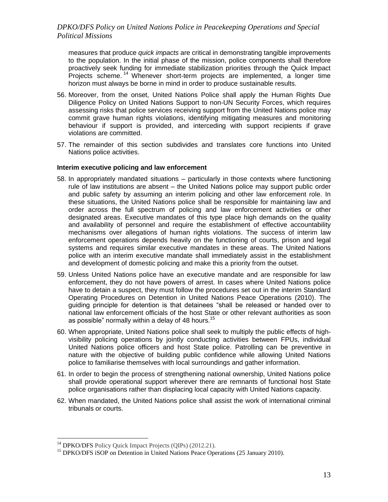measures that produce *quick impacts* are critical in demonstrating tangible improvements to the population. In the initial phase of the mission, police components shall therefore proactively seek funding for immediate stabilization priorities through the Quick Impact Projects scheme.<sup>14</sup> Whenever short-term projects are implemented, a longer time horizon must always be borne in mind in order to produce sustainable results.

- 56. Moreover, from the onset, United Nations Police shall apply the Human Rights Due Diligence Policy on United Nations Support to non-UN Security Forces, which requires assessing risks that police services receiving support from the United Nations police may commit grave human rights violations, identifying mitigating measures and monitoring behaviour if support is provided, and interceding with support recipients if grave violations are committed.
- 57. The remainder of this section subdivides and translates core functions into United Nations police activities.

#### **Interim executive policing and law enforcement**

- 58. In appropriately mandated situations particularly in those contexts where functioning rule of law institutions are absent – the United Nations police may support public order and public safety by assuming an interim policing and other law enforcement role. In these situations, the United Nations police shall be responsible for maintaining law and order across the full spectrum of policing and law enforcement activities or other designated areas. Executive mandates of this type place high demands on the quality and availability of personnel and require the establishment of effective accountability mechanisms over allegations of human rights violations. The success of interim law enforcement operations depends heavily on the functioning of courts, prison and legal systems and requires similar executive mandates in these areas. The United Nations police with an interim executive mandate shall immediately assist in the establishment and development of domestic policing and make this a priority from the outset.
- 59. Unless United Nations police have an executive mandate and are responsible for law enforcement, they do not have powers of arrest. In cases where United Nations police have to detain a suspect, they must follow the procedures set out in the interim Standard Operating Procedures on Detention in United Nations Peace Operations (2010). The guiding principle for detention is that detainees "shall be released or handed over to national law enforcement officials of the host State or other relevant authorities as soon as possible" normally within a delay of 48 hours. $^{15}$
- 60. When appropriate, United Nations police shall seek to multiply the public effects of highvisibility policing operations by jointly conducting activities between FPUs, individual United Nations police officers and host State police. Patrolling can be preventive in nature with the objective of building public confidence while allowing United Nations police to familiarise themselves with local surroundings and gather information.
- 61. In order to begin the process of strengthening national ownership, United Nations police shall provide operational support wherever there are remnants of functional host State police organisations rather than displacing local capacity with United Nations capacity.
- 62. When mandated, the United Nations police shall assist the work of international criminal tribunals or courts.

<sup>&</sup>lt;sup>14</sup> DPKO/DFS Policy Quick Impact Projects (QIPs) (2012.21).

<sup>&</sup>lt;sup>15</sup> DPKO/DFS iSOP on Detention in United Nations Peace Operations (25 January 2010).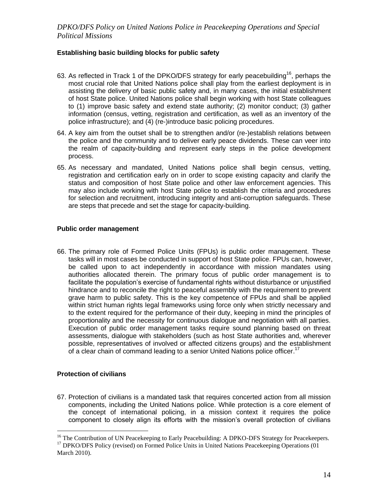# **Establishing basic building blocks for public safety**

- 63. As reflected in Track 1 of the DPKO/DFS strategy for early peacebuilding<sup>16</sup>, perhaps the most crucial role that United Nations police shall play from the earliest deployment is in assisting the delivery of basic public safety and, in many cases, the initial establishment of host State police. United Nations police shall begin working with host State colleagues to (1) improve basic safety and extend state authority; (2) monitor conduct; (3) gather information (census, vetting, registration and certification, as well as an inventory of the police infrastructure); and (4) (re-)introduce basic policing procedures.
- 64. A key aim from the outset shall be to strengthen and/or (re-)establish relations between the police and the community and to deliver early peace dividends. These can veer into the realm of capacity-building and represent early steps in the police development process.
- 65. As necessary and mandated, United Nations police shall begin census, vetting, registration and certification early on in order to scope existing capacity and clarify the status and composition of host State police and other law enforcement agencies. This may also include working with host State police to establish the criteria and procedures for selection and recruitment, introducing integrity and anti-corruption safeguards. These are steps that precede and set the stage for capacity-building.

### **Public order management**

66. The primary role of Formed Police Units (FPUs) is public order management. These tasks will in most cases be conducted in support of host State police. FPUs can, however, be called upon to act independently in accordance with mission mandates using authorities allocated therein. The primary focus of public order management is to facilitate the population's exercise of fundamental rights without disturbance or unjustified hindrance and to reconcile the right to peaceful assembly with the requirement to prevent grave harm to public safety. This is the key competence of FPUs and shall be applied within strict human rights legal frameworks using force only when strictly necessary and to the extent required for the performance of their duty, keeping in mind the principles of proportionality and the necessity for continuous dialogue and negotiation with all parties. Execution of public order management tasks require sound planning based on threat assessments, dialogue with stakeholders (such as host State authorities and, wherever possible, representatives of involved or affected citizens groups) and the establishment of a clear chain of command leading to a senior United Nations police officer.<sup>17</sup>

### **Protection of civilians**

 $\overline{a}$ 

67. Protection of civilians is a mandated task that requires concerted action from all mission components, including the United Nations police. While protection is a core element of the concept of international policing, in a mission context it requires the police component to closely align its efforts with the mission's overall protection of civilians

<sup>&</sup>lt;sup>16</sup> The Contribution of UN Peacekeeping to Early Peacebuilding: A DPKO-DFS Strategy for Peacekeepers. <sup>17</sup> DPKO/DFS Policy (revised) on Formed Police Units in United Nations Peacekeeping Operations (01 March 2010).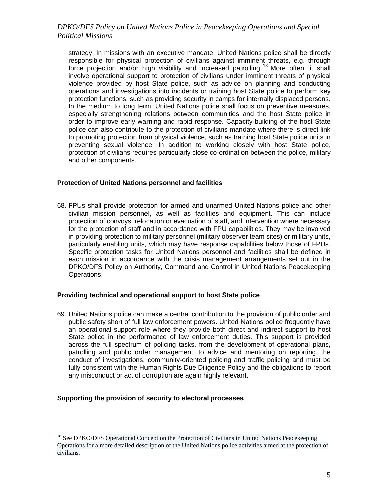strategy. In missions with an executive mandate, United Nations police shall be directly responsible for physical protection of civilians against imminent threats, e.g. through force projection and/or high visibility and increased patrolling.<sup>18</sup> More often, it shall involve operational support to protection of civilians under imminent threats of physical violence provided by host State police, such as advice on planning and conducting operations and investigations into incidents or training host State police to perform key protection functions, such as providing security in camps for internally displaced persons. In the medium to long term, United Nations police shall focus on preventive measures, especially strengthening relations between communities and the host State police in order to improve early warning and rapid response. Capacity-building of the host State police can also contribute to the protection of civilians mandate where there is direct link to promoting protection from physical violence, such as training host State police units in preventing sexual violence. In addition to working closely with host State police, protection of civilians requires particularly close co-ordination between the police, military and other components.

### **Protection of United Nations personnel and facilities**

68. FPUs shall provide protection for armed and unarmed United Nations police and other civilian mission personnel, as well as facilities and equipment. This can include protection of convoys, relocation or evacuation of staff, and intervention where necessary for the protection of staff and in accordance with FPU capabilities. They may be involved in providing protection to military personnel (military observer team sites) or military units, particularly enabling units, which may have response capabilities below those of FPUs. Specific protection tasks for United Nations personnel and facilities shall be defined in each mission in accordance with the crisis management arrangements set out in the DPKO/DFS Policy on Authority, Command and Control in United Nations Peacekeeping Operations.

#### **Providing technical and operational support to host State police**

69. United Nations police can make a central contribution to the provision of public order and public safety short of full law enforcement powers. United Nations police frequently have an operational support role where they provide both direct and indirect support to host State police in the performance of law enforcement duties. This support is provided across the full spectrum of policing tasks, from the development of operational plans, patrolling and public order management, to advice and mentoring on reporting, the conduct of investigations, community-oriented policing and traffic policing and must be fully consistent with the Human Rights Due Diligence Policy and the obligations to report any misconduct or act of corruption are again highly relevant.

#### **Supporting the provision of security to electoral processes**

<sup>&</sup>lt;sup>18</sup> See DPKO/DFS Operational Concept on the Protection of Civilians in United Nations Peacekeeping Operations for a more detailed description of the United Nations police activities aimed at the protection of civilians.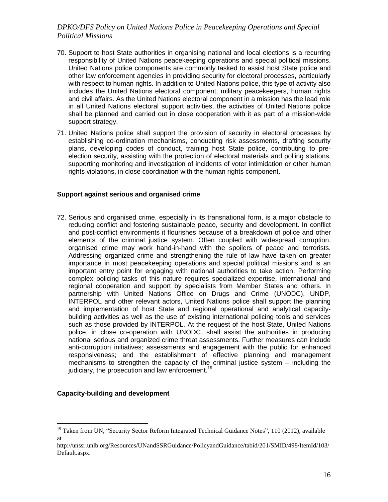- 70. Support to host State authorities in organising national and local elections is a recurring responsibility of United Nations peacekeeping operations and special political missions. United Nations police components are commonly tasked to assist host State police and other law enforcement agencies in providing security for electoral processes, particularly with respect to human rights. In addition to United Nations police, this type of activity also includes the United Nations electoral component, military peacekeepers, human rights and civil affairs. As the United Nations electoral component in a mission has the lead role in all United Nations electoral support activities, the activities of United Nations police shall be planned and carried out in close cooperation with it as part of a mission-wide support strategy.
- 71. United Nations police shall support the provision of security in electoral processes by establishing co-ordination mechanisms, conducting risk assessments, drafting security plans, developing codes of conduct, training host State police, contributing to preelection security, assisting with the protection of electoral materials and polling stations, supporting monitoring and investigation of incidents of voter intimidation or other human rights violations, in close coordination with the human rights component.

#### **Support against serious and organised crime**

72. Serious and organised crime, especially in its transnational form, is a major obstacle to reducing conflict and fostering sustainable peace, security and development. In conflict and post-conflict environments it flourishes because of a breakdown of police and other elements of the criminal justice system. Often coupled with widespread corruption, organised crime may work hand-in-hand with the spoilers of peace and terrorists. Addressing organized crime and strengthening the rule of law have taken on greater importance in most peacekeeping operations and special political missions and is an important entry point for engaging with national authorities to take action. Performing complex policing tasks of this nature requires specialized expertise, international and regional cooperation and support by specialists from Member States and others. In partnership with United Nations Office on Drugs and Crime (UNODC), UNDP, INTERPOL and other relevant actors, United Nations police shall support the planning and implementation of host State and regional operational and analytical capacitybuilding activities as well as the use of existing international policing tools and services such as those provided by INTERPOL. At the request of the host State, United Nations police, in close co-operation with UNODC, shall assist the authorities in producing national serious and organized crime threat assessments. Further measures can include anti-corruption initiatives; assessments and engagement with the public for enhanced responsiveness; and the establishment of effective planning and management mechanisms to strengthen the capacity of the criminal justice system – including the judiciary, the prosecution and law enforcement.<sup>19</sup>

#### **Capacity-building and development**

<sup>&</sup>lt;sup>19</sup> Taken from UN, "Security Sector Reform Integrated Technical Guidance Notes", 110 (2012), available at

http://unssr.unlb.org/Resources/UNandSSRGuidance/PolicyandGuidance/tabid/201/SMID/498/ItemId/103/ Default.aspx.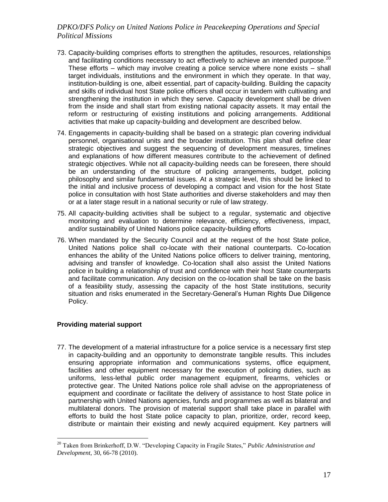- 73. Capacity-building comprises efforts to strengthen the aptitudes, resources, relationships and facilitating conditions necessary to act effectively to achieve an intended purpose.<sup>2</sup> These efforts – which may involve creating a police service where none exists – shall target individuals, institutions and the environment in which they operate. In that way, institution-building is one, albeit essential, part of capacity-building. Building the capacity and skills of individual host State police officers shall occur in tandem with cultivating and strengthening the institution in which they serve. Capacity development shall be driven from the inside and shall start from existing national capacity assets. It may entail the reform or restructuring of existing institutions and policing arrangements. Additional activities that make up capacity-building and development are described below.
- 74. Engagements in capacity-building shall be based on a strategic plan covering individual personnel, organisational units and the broader institution. This plan shall define clear strategic objectives and suggest the sequencing of development measures, timelines and explanations of how different measures contribute to the achievement of defined strategic objectives. While not all capacity-building needs can be foreseen, there should be an understanding of the structure of policing arrangements, budget, policing philosophy and similar fundamental issues. At a strategic level, this should be linked to the initial and inclusive process of developing a compact and vision for the host State police in consultation with host State authorities and diverse stakeholders and may then or at a later stage result in a national security or rule of law strategy.
- 75. All capacity-building activities shall be subject to a regular, systematic and objective monitoring and evaluation to determine relevance, efficiency, effectiveness, impact, and/or sustainability of United Nations police capacity-building efforts
- 76. When mandated by the Security Council and at the request of the host State police, United Nations police shall co-locate with their national counterparts. Co-location enhances the ability of the United Nations police officers to deliver training, mentoring, advising and transfer of knowledge. Co-location shall also assist the United Nations police in building a relationship of trust and confidence with their host State counterparts and facilitate communication. Any decision on the co-location shall be take on the basis of a feasibility study, assessing the capacity of the host State institutions, security situation and risks enumerated in the Secretary-General's Human Rights Due Diligence Policy.

### **Providing material support**

 $\overline{a}$ 

77. The development of a material infrastructure for a police service is a necessary first step in capacity-building and an opportunity to demonstrate tangible results. This includes ensuring appropriate information and communications systems, office equipment, facilities and other equipment necessary for the execution of policing duties, such as uniforms, less-lethal public order management equipment, firearms, vehicles or protective gear. The United Nations police role shall advise on the appropriateness of equipment and coordinate or facilitate the delivery of assistance to host State police in partnership with United Nations agencies, funds and programmes as well as bilateral and multilateral donors. The provision of material support shall take place in parallel with efforts to build the host State police capacity to plan, prioritize, order, record keep, distribute or maintain their existing and newly acquired equipment. Key partners will

<sup>20</sup> Taken from Brinkerhoff, D.W. "Developing Capacity in Fragile States," *Public Administration and Development*, 30, 66-78 (2010).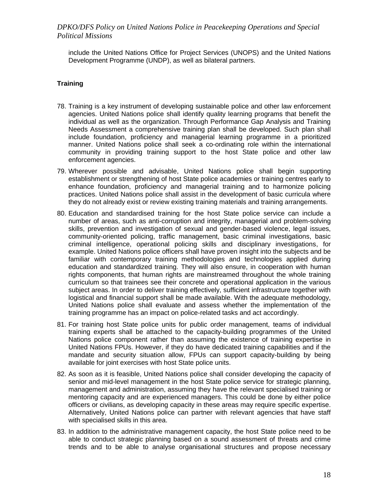include the United Nations Office for Project Services (UNOPS) and the United Nations Development Programme (UNDP), as well as bilateral partners.

#### **Training**

- 78. Training is a key instrument of developing sustainable police and other law enforcement agencies. United Nations police shall identify quality learning programs that benefit the individual as well as the organization. Through Performance Gap Analysis and Training Needs Assessment a comprehensive training plan shall be developed. Such plan shall include foundation, proficiency and managerial learning programme in a prioritized manner. United Nations police shall seek a co-ordinating role within the international community in providing training support to the host State police and other law enforcement agencies.
- 79. Wherever possible and advisable, United Nations police shall begin supporting establishment or strengthening of host State police academies or training centres early to enhance foundation, proficiency and managerial training and to harmonize policing practices. United Nations police shall assist in the development of basic curricula where they do not already exist or review existing training materials and training arrangements.
- 80. Education and standardised training for the host State police service can include a number of areas, such as anti-corruption and integrity, managerial and problem-solving skills, prevention and investigation of sexual and gender-based violence, legal issues, community-oriented policing, traffic management, basic criminal investigations, basic criminal intelligence, operational policing skills and disciplinary investigations, for example. United Nations police officers shall have proven insight into the subjects and be familiar with contemporary training methodologies and technologies applied during education and standardized training. They will also ensure, in cooperation with human rights components, that human rights are mainstreamed throughout the whole training curriculum so that trainees see their concrete and operational application in the various subject areas. In order to deliver training effectively, sufficient infrastructure together with logistical and financial support shall be made available. With the adequate methodology, United Nations police shall evaluate and assess whether the implementation of the training programme has an impact on police-related tasks and act accordingly.
- 81. For training host State police units for public order management, teams of individual training experts shall be attached to the capacity-building programmes of the United Nations police component rather than assuming the existence of training expertise in United Nations FPUs. However, if they do have dedicated training capabilities and if the mandate and security situation allow, FPUs can support capacity-building by being available for joint exercises with host State police units.
- 82. As soon as it is feasible, United Nations police shall consider developing the capacity of senior and mid-level management in the host State police service for strategic planning, management and administration, assuming they have the relevant specialised training or mentoring capacity and are experienced managers. This could be done by either police officers or civilians, as developing capacity in these areas may require specific expertise. Alternatively, United Nations police can partner with relevant agencies that have staff with specialised skills in this area.
- 83. In addition to the administrative management capacity, the host State police need to be able to conduct strategic planning based on a sound assessment of threats and crime trends and to be able to analyse organisational structures and propose necessary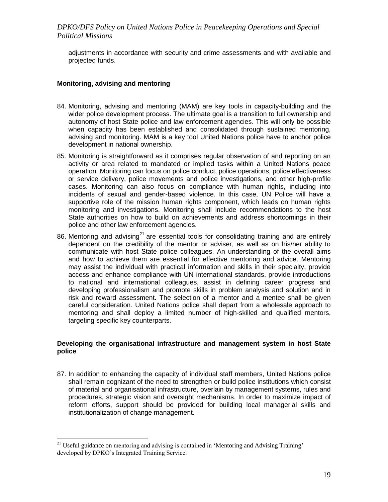adjustments in accordance with security and crime assessments and with available and projected funds.

#### **Monitoring, advising and mentoring**

- 84. Monitoring, advising and mentoring (MAM) are key tools in capacity-building and the wider police development process. The ultimate goal is a transition to full ownership and autonomy of host State police and law enforcement agencies. This will only be possible when capacity has been established and consolidated through sustained mentoring, advising and monitoring. MAM is a key tool United Nations police have to anchor police development in national ownership.
- 85. Monitoring is straightforward as it comprises regular observation of and reporting on an activity or area related to mandated or implied tasks within a United Nations peace operation. Monitoring can focus on police conduct, police operations, police effectiveness or service delivery, police movements and police investigations, and other high-profile cases. Monitoring can also focus on compliance with human rights, including into incidents of sexual and gender-based violence. In this case, UN Police will have a supportive role of the mission human rights component, which leads on human rights monitoring and investigations. Monitoring shall include recommendations to the host State authorities on how to build on achievements and address shortcomings in their police and other law enforcement agencies.
- 86. Mentoring and advising<sup>21</sup> are essential tools for consolidating training and are entirely dependent on the credibility of the mentor or adviser, as well as on his/her ability to communicate with host State police colleagues. An understanding of the overall aims and how to achieve them are essential for effective mentoring and advice. Mentoring may assist the individual with practical information and skills in their specialty, provide access and enhance compliance with UN international standards, provide introductions to national and international colleagues, assist in defining career progress and developing professionalism and promote skills in problem analysis and solution and in risk and reward assessment. The selection of a mentor and a mentee shall be given careful consideration. United Nations police shall depart from a wholesale approach to mentoring and shall deploy a limited number of high-skilled and qualified mentors, targeting specific key counterparts.

#### **Developing the organisational infrastructure and management system in host State police**

87. In addition to enhancing the capacity of individual staff members, United Nations police shall remain cognizant of the need to strengthen or build police institutions which consist of material and organisational infrastructure, overlain by management systems, rules and procedures, strategic vision and oversight mechanisms. In order to maximize impact of reform efforts, support should be provided for building local managerial skills and institutionalization of change management.

<sup>&</sup>lt;sup>21</sup> Useful guidance on mentoring and advising is contained in 'Mentoring and Advising Training' developed by DPKO's Integrated Training Service.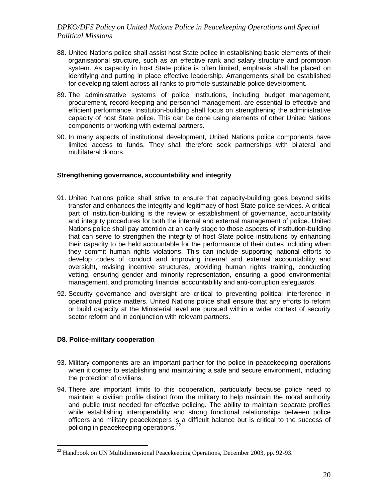- 88. United Nations police shall assist host State police in establishing basic elements of their organisational structure, such as an effective rank and salary structure and promotion system. As capacity in host State police is often limited, emphasis shall be placed on identifying and putting in place effective leadership. Arrangements shall be established for developing talent across all ranks to promote sustainable police development.
- 89. The administrative systems of police institutions, including budget management, procurement, record-keeping and personnel management, are essential to effective and efficient performance. Institution-building shall focus on strengthening the administrative capacity of host State police. This can be done using elements of other United Nations components or working with external partners.
- 90. In many aspects of institutional development, United Nations police components have limited access to funds. They shall therefore seek partnerships with bilateral and multilateral donors.

#### **Strengthening governance, accountability and integrity**

- 91. United Nations police shall strive to ensure that capacity-building goes beyond skills transfer and enhances the integrity and legitimacy of host State police services. A critical part of institution-building is the review or establishment of governance, accountability and integrity procedures for both the internal and external management of police. United Nations police shall pay attention at an early stage to those aspects of institution-building that can serve to strengthen the integrity of host State police institutions by enhancing their capacity to be held accountable for the performance of their duties including when they commit human rights violations. This can include supporting national efforts to develop codes of conduct and improving internal and external accountability and oversight, revising incentive structures, providing human rights training, conducting vetting, ensuring gender and minority representation, ensuring a good environmental management, and promoting financial accountability and anti-corruption safeguards.
- 92. Security governance and oversight are critical to preventing political interference in operational police matters. United Nations police shall ensure that any efforts to reform or build capacity at the Ministerial level are pursued within a wider context of security sector reform and in conjunction with relevant partners.

#### **D8. Police-military cooperation**

- 93. Military components are an important partner for the police in peacekeeping operations when it comes to establishing and maintaining a safe and secure environment, including the protection of civilians.
- 94. There are important limits to this cooperation, particularly because police need to maintain a civilian profile distinct from the military to help maintain the moral authority and public trust needed for effective policing. The ability to maintain separate profiles while establishing interoperability and strong functional relationships between police officers and military peacekeepers is a difficult balance but is critical to the success of policing in peacekeeping operations.<sup>22</sup>

<sup>&</sup>lt;sup>22</sup> Handbook on UN Multidimensional Peacekeeping Operations, December 2003, pp. 92-93.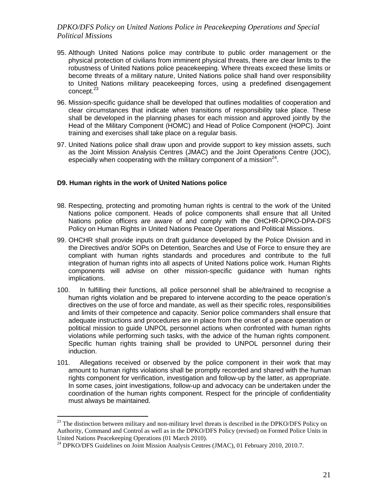- 95. Although United Nations police may contribute to public order management or the physical protection of civilians from imminent physical threats, there are clear limits to the robustness of United Nations police peacekeeping. Where threats exceed these limits or become threats of a military nature, United Nations police shall hand over responsibility to United Nations military peacekeeping forces, using a predefined disengagement concept.<sup>23</sup>
- 96. Mission-specific guidance shall be developed that outlines modalities of cooperation and clear circumstances that indicate when transitions of responsibility take place. These shall be developed in the planning phases for each mission and approved jointly by the Head of the Military Component (HOMC) and Head of Police Component (HOPC). Joint training and exercises shall take place on a regular basis.
- 97. United Nations police shall draw upon and provide support to key mission assets, such as the Joint Mission Analysis Centres (JMAC) and the Joint Operations Centre (JOC), especially when cooperating with the military component of a mission<sup>24</sup>.

### **D9. Human rights in the work of United Nations police**

- 98. Respecting, protecting and promoting human rights is central to the work of the United Nations police component. Heads of police components shall ensure that all United Nations police officers are aware of and comply with the OHCHR-DPKO-DPA-DFS Policy on Human Rights in United Nations Peace Operations and Political Missions.
- 99. OHCHR shall provide inputs on draft guidance developed by the Police Division and in the Directives and/or SOPs on Detention, Searches and Use of Force to ensure they are compliant with human rights standards and procedures and contribute to the full integration of human rights into all aspects of United Nations police work. Human Rights components will advise on other mission-specific guidance with human rights implications.
- 100. In fulfilling their functions, all police personnel shall be able/trained to recognise a human rights violation and be prepared to intervene according to the peace operation's directives on the use of force and mandate, as well as their specific roles, responsibilities and limits of their competence and capacity. Senior police commanders shall ensure that adequate instructions and procedures are in place from the onset of a peace operation or political mission to guide UNPOL personnel actions when confronted with human rights violations while performing such tasks, with the advice of the human rights component. Specific human rights training shall be provided to UNPOL personnel during their induction.
- 101. Allegations received or observed by the police component in their work that may amount to human rights violations shall be promptly recorded and shared with the human rights component for verification, investigation and follow-up by the latter, as appropriate. In some cases, joint investigations, follow-up and advocacy can be undertaken under the coordination of the human rights component. Respect for the principle of confidentiality must always be maintained.

 $^{23}$  The distinction between military and non-military level threats is described in the DPKO/DFS Policy on Authority, Command and Control as well as in the DPKO/DFS Policy (revised) on Formed Police Units in United Nations Peacekeeping Operations (01 March 2010).

<sup>&</sup>lt;sup>24</sup> DPKO/DFS Guidelines on Joint Mission Analysis Centres (JMAC), 01 February 2010, 2010.7.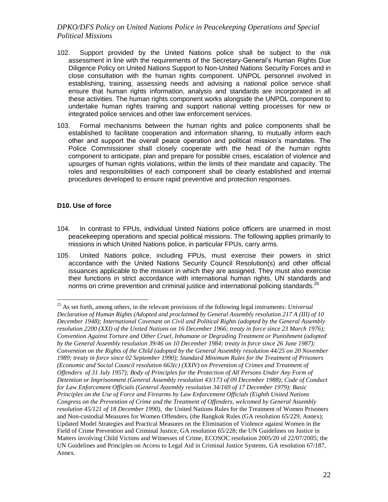- 102. Support provided by the United Nations police shall be subject to the risk assessment in line with the requirements of the Secretary-General's Human Rights Due Diligence Policy on United Nations Support to Non-United Nations Security Forces and in close consultation with the human rights component. UNPOL personnel involved in establishing, training, assessing needs and advising a national police service shall ensure that human rights information, analysis and standards are incorporated in all these activities. The human rights component works alongside the UNPOL component to undertake human rights training and support national vetting processes for new or integrated police services and other law enforcement services.
- 103. Formal mechanisms between the human rights and police components shall be established to facilitate cooperation and information sharing, to mutually inform each other and support the overall peace operation and political mission's mandates. The Police Commissioner shall closely cooperate with the head of the human rights component to anticipate, plan and prepare for possible crises, escalation of violence and upsurges of human rights violations, within the limits of their mandate and capacity. The roles and responsibilities of each component shall be clearly established and internal procedures developed to ensure rapid preventive and protection responses.

# **D10. Use of force**

- 104. In contrast to FPUs, individual United Nations police officers are unarmed in most peacekeeping operations and special political missions. The following applies primarily to missions in which United Nations police, in particular FPUs, carry arms.
- 105. United Nations police, including FPUs, must exercise their powers in strict accordance with the United Nations Security Council Resolution(s) and other official issuances applicable to the mission in which they are assigned. They must also exercise their functions in strict accordance with international human rights, UN standards and norms on crime prevention and criminal justice and international policing standards.<sup>2</sup>

<sup>25</sup> As set forth, among others, in the relevant provisions of the following legal instruments: *Universal Declaration of Human Rights (Adopted and proclaimed by General Assembly resolution 217 A (III) of 10 December 1948); International Covenant on Civil and Political Rights (adopted by the General Assembly resolution 2200 (XXI) of the United Nations on 16 December 1966; treaty in force since 23 March 1976); Convention Against Torture and Other Cruel, Inhumane or Degrading Treatment or Punishment (adopted by the General Assembly resolution 39/46 on 10 December 1984; treaty in force since 26 June 1987); Convention on the Rights of the Child (adopted by the General Assembly resolution 44/25 on 20 November 1989; treaty in force since 02 September 1990); Standard Minimum Rules for the Treatment of Prisoners (Economic and Social Council resolution 663(c) (XXIV) on Prevention of Crimes and Treatment of Offenders of 31 July 1957); Body of Principles for the Protection of All Persons Under Any Form of Detention or Imprisonment (General Assembly resolution 43/173 of 09 December 1988); Code of Conduct for Law Enforcement Officials (General Assembly resolution 34/169 of 17 December 1979); Basic Principles on the Use of Force and Firearms by Law Enforcement Officials (Eighth United Nations Congress on the Prevention of Crime and the Treatment of Offenders, welcomed by General Assembly resolution 45/121 of 18 December 1990)*, the United Nations Rules for the Treatment of Women Prisoners and Non-custodial Measures for Women Offenders, (the Bangkok Rules (GA resolution 65/229, Annex); Updated Model Strategies and Practical Measures on the Elimination of Violence against Women in the Field of Crime Prevention and Criminal Justice, GA resolution 65/228; the UN Guidelines on Justice in Matters involving Child Victims and Witnesses of Crime, ECOSOC resolution 2005/20 of 22/07/2005; the UN Guidelines and Principles on Access to Legal Aid in Criminal Justice Systems, GA resolution 67/187, Annex.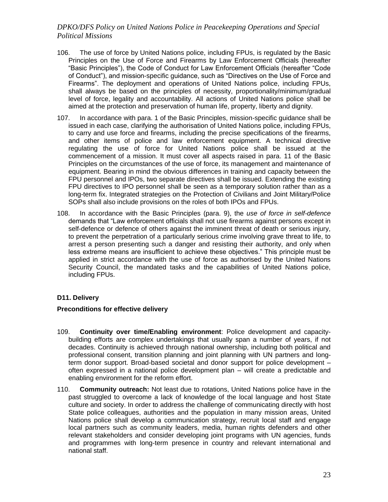- 106. The use of force by United Nations police, including FPUs, is regulated by the Basic Principles on the Use of Force and Firearms by Law Enforcement Officials (hereafter "Basic Principles"), the Code of Conduct for Law Enforcement Officials (hereafter "Code of Conduct"), and mission-specific guidance, such as "Directives on the Use of Force and Firearms". The deployment and operations of United Nations police, including FPUs, shall always be based on the principles of necessity, proportionality/minimum/gradual level of force, legality and accountability. All actions of United Nations police shall be aimed at the protection and preservation of human life, property, liberty and dignity.
- 107. In accordance with para. 1 of the Basic Principles, mission-specific guidance shall be issued in each case, clarifying the authorisation of United Nations police, including FPUs, to carry and use force and firearms, including the precise specifications of the firearms, and other items of police and law enforcement equipment. A technical directive regulating the use of force for United Nations police shall be issued at the commencement of a mission. It must cover all aspects raised in para. 11 of the Basic Principles on the circumstances of the use of force, its management and maintenance of equipment. Bearing in mind the obvious differences in training and capacity between the FPU personnel and IPOs, two separate directives shall be issued. Extending the existing FPU directives to IPO personnel shall be seen as a temporary solution rather than as a long-term fix. Integrated strategies on the Protection of Civilians and Joint Military/Police SOPs shall also include provisions on the roles of both IPOs and FPUs.
- 108. In accordance with the Basic Principles (para. 9), the *use of force in self-defence* demands that "Law enforcement officials shall not use firearms against persons except in self-defence or defence of others against the imminent threat of death or serious injury, to prevent the perpetration of a particularly serious crime involving grave threat to life, to arrest a person presenting such a danger and resisting their authority, and only when less extreme means are insufficient to achieve these objectives." This principle must be applied in strict accordance with the use of force as authorised by the United Nations Security Council, the mandated tasks and the capabilities of United Nations police, including FPUs.

### **D11. Delivery**

### **Preconditions for effective delivery**

- 109. **Continuity over time/Enabling environment**: Police development and capacitybuilding efforts are complex undertakings that usually span a number of years, if not decades. Continuity is achieved through national ownership, including both political and professional consent, transition planning and joint planning with UN partners and longterm donor support. Broad-based societal and donor support for police development – often expressed in a national police development plan – will create a predictable and enabling environment for the reform effort.
- 110. **Community outreach:** Not least due to rotations, United Nations police have in the past struggled to overcome a lack of knowledge of the local language and host State culture and society. In order to address the challenge of communicating directly with host State police colleagues, authorities and the population in many mission areas, United Nations police shall develop a communication strategy, recruit local staff and engage local partners such as community leaders, media, human rights defenders and other relevant stakeholders and consider developing joint programs with UN agencies, funds and programmes with long-term presence in country and relevant international and national staff.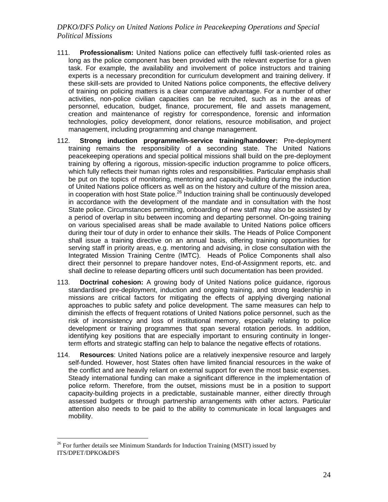- 111. **Professionalism:** United Nations police can effectively fulfil task-oriented roles as long as the police component has been provided with the relevant expertise for a given task. For example, the availability and involvement of police instructors and training experts is a necessary precondition for curriculum development and training delivery. If these skill-sets are provided to United Nations police components, the effective delivery of training on policing matters is a clear comparative advantage. For a number of other activities, non-police civilian capacities can be recruited, such as in the areas of personnel, education, budget, finance, procurement, file and assets management, creation and maintenance of registry for correspondence, forensic and information technologies, policy development, donor relations, resource mobilisation, and project management, including programming and change management.
- 112. **Strong induction programme/in-service training/handover:** Pre-deployment training remains the responsibility of a seconding state. The United Nations peacekeeping operations and special political missions shall build on the pre-deployment training by offering a rigorous, mission-specific induction programme to police officers, which fully reflects their human rights roles and responsibilities. Particular emphasis shall be put on the topics of monitoring, mentoring and capacity-building during the induction of United Nations police officers as well as on the history and culture of the mission area, in cooperation with host State police.<sup>26</sup> Induction training shall be continuously developed in accordance with the development of the mandate and in consultation with the host State police. Circumstances permitting, onboarding of new staff may also be assisted by a period of overlap in situ between incoming and departing personnel. On-going training on various specialised areas shall be made available to United Nations police officers during their tour of duty in order to enhance their skills. The Heads of Police Component shall issue a training directive on an annual basis, offering training opportunities for serving staff in priority areas, e.g. mentoring and advising, in close consultation with the Integrated Mission Training Centre (IMTC). Heads of Police Components shall also direct their personnel to prepare handover notes, End-of-Assignment reports, etc. and shall decline to release departing officers until such documentation has been provided.
- 113. **Doctrinal cohesion:** A growing body of United Nations police guidance, rigorous standardised pre-deployment, induction and ongoing training, and strong leadership in missions are critical factors for mitigating the effects of applying diverging national approaches to public safety and police development. The same measures can help to diminish the effects of frequent rotations of United Nations police personnel, such as the risk of inconsistency and loss of institutional memory, especially relating to police development or training programmes that span several rotation periods. In addition, identifying key positions that are especially important to ensuring continuity in longerterm efforts and strategic staffing can help to balance the negative effects of rotations.
- 114. **Resources**: United Nations police are a relatively inexpensive resource and largely self-funded. However, host States often have limited financial resources in the wake of the conflict and are heavily reliant on external support for even the most basic expenses. Steady international funding can make a significant difference in the implementation of police reform. Therefore, from the outset, missions must be in a position to support capacity-building projects in a predictable, sustainable manner, either directly through assessed budgets or through partnership arrangements with other actors. Particular attention also needs to be paid to the ability to communicate in local languages and mobility.

 $26$  For further details see Minimum Standards for Induction Training (MSIT) issued by ITS/DPET/DPKO&DFS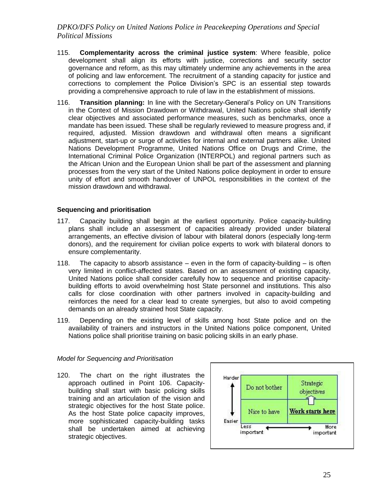- 115. **Complementarity across the criminal justice system**: Where feasible, police development shall align its efforts with justice, corrections and security sector governance and reform, as this may ultimately undermine any achievements in the area of policing and law enforcement. The recruitment of a standing capacity for justice and corrections to complement the Police Division's SPC is an essential step towards providing a comprehensive approach to rule of law in the establishment of missions.
- 116. **Transition planning:** In line with the Secretary-General's Policy on UN Transitions in the Context of Mission Drawdown or Withdrawal, United Nations police shall identify clear objectives and associated performance measures, such as benchmarks, once a mandate has been issued. These shall be regularly reviewed to measure progress and, if required, adjusted. Mission drawdown and withdrawal often means a significant adjustment, start-up or surge of activities for internal and external partners alike. United Nations Development Programme, United Nations Office on Drugs and Crime, the International Criminal Police Organization (INTERPOL) and regional partners such as the African Union and the European Union shall be part of the assessment and planning processes from the very start of the United Nations police deployment in order to ensure unity of effort and smooth handover of UNPOL responsibilities in the context of the mission drawdown and withdrawal.

#### **Sequencing and prioritisation**

- 117. Capacity building shall begin at the earliest opportunity. Police capacity-building plans shall include an assessment of capacities already provided under bilateral arrangements, an effective division of labour with bilateral donors (especially long-term donors), and the requirement for civilian police experts to work with bilateral donors to ensure complementarity.
- 118. The capacity to absorb assistance even in the form of capacity-building is often very limited in conflict-affected states. Based on an assessment of existing capacity, United Nations police shall consider carefully how to sequence and prioritise capacitybuilding efforts to avoid overwhelming host State personnel and institutions. This also calls for close coordination with other partners involved in capacity-building and reinforces the need for a clear lead to create synergies, but also to avoid competing demands on an already strained host State capacity.
- 119. Depending on the existing level of skills among host State police and on the availability of trainers and instructors in the United Nations police component, United Nations police shall prioritise training on basic policing skills in an early phase.

#### *Model for Sequencing and Prioritisation*

120. The chart on the right illustrates the approach outlined in Point 106. Capacitybuilding shall start with basic policing skills training and an articulation of the vision and strategic objectives for the host State police. As the host State police capacity improves, more sophisticated capacity-building tasks shall be undertaken aimed at achieving strategic objectives.

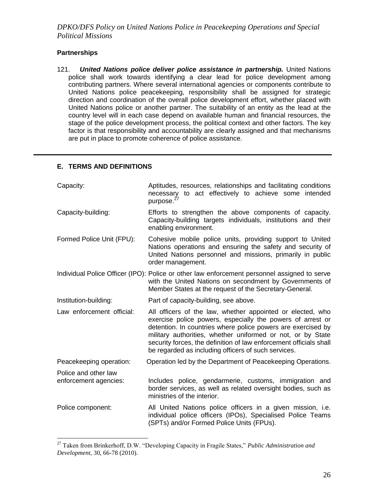# **Partnerships**

 $\overline{a}$ 

121. *United Nations police deliver police assistance in partnership.* United Nations police shall work towards identifying a clear lead for police development among contributing partners. Where several international agencies or components contribute to United Nations police peacekeeping, responsibility shall be assigned for strategic direction and coordination of the overall police development effort, whether placed with United Nations police or another partner. The suitability of an entity as the lead at the country level will in each case depend on available human and financial resources, the stage of the police development process, the political context and other factors. The key factor is that responsibility and accountability are clearly assigned and that mechanisms are put in place to promote coherence of police assistance.

#### **E. TERMS AND DEFINITIONS**

| Capacity:                                     | Aptitudes, resources, relationships and facilitating conditions<br>necessary to act effectively to achieve some intended<br>purpose. <sup>27</sup>                                                                                                                                                                                                                                   |
|-----------------------------------------------|--------------------------------------------------------------------------------------------------------------------------------------------------------------------------------------------------------------------------------------------------------------------------------------------------------------------------------------------------------------------------------------|
| Capacity-building:                            | Efforts to strengthen the above components of capacity.<br>Capacity-building targets individuals, institutions and their<br>enabling environment.                                                                                                                                                                                                                                    |
| Formed Police Unit (FPU):                     | Cohesive mobile police units, providing support to United<br>Nations operations and ensuring the safety and security of<br>United Nations personnel and missions, primarily in public<br>order management.                                                                                                                                                                           |
|                                               | Individual Police Officer (IPO): Police or other law enforcement personnel assigned to serve<br>with the United Nations on secondment by Governments of<br>Member States at the request of the Secretary-General.                                                                                                                                                                    |
| Institution-building:                         | Part of capacity-building, see above.                                                                                                                                                                                                                                                                                                                                                |
| Law enforcement official:                     | All officers of the law, whether appointed or elected, who<br>exercise police powers, especially the powers of arrest or<br>detention. In countries where police powers are exercised by<br>military authorities, whether uniformed or not, or by State<br>security forces, the definition of law enforcement officials shall<br>be regarded as including officers of such services. |
| Peacekeeping operation:                       | Operation led by the Department of Peacekeeping Operations.                                                                                                                                                                                                                                                                                                                          |
| Police and other law<br>enforcement agencies: | Includes police, gendarmerie, customs, immigration and<br>border services, as well as related oversight bodies, such as<br>ministries of the interior.                                                                                                                                                                                                                               |
| Police component:                             | All United Nations police officers in a given mission, i.e.<br>individual police officers (IPOs), Specialised Police Teams<br>(SPTs) and/or Formed Police Units (FPUs).                                                                                                                                                                                                              |

<sup>27</sup> Taken from Brinkerhoff, D.W. "Developing Capacity in Fragile States," *Public Administration and Development*, 30, 66-78 (2010).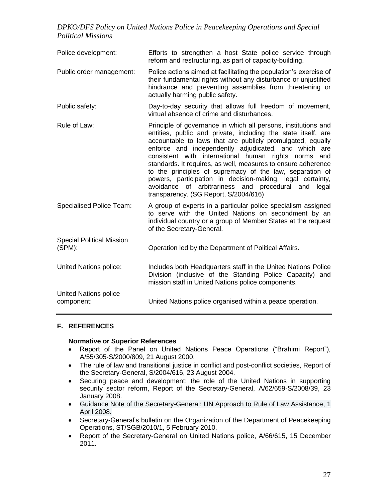| Police development:                           | Efforts to strengthen a host State police service through<br>reform and restructuring, as part of capacity-building.                                                                                                                                                                                                                                                                                                                                                                                                                                                                                        |  |  |  |
|-----------------------------------------------|-------------------------------------------------------------------------------------------------------------------------------------------------------------------------------------------------------------------------------------------------------------------------------------------------------------------------------------------------------------------------------------------------------------------------------------------------------------------------------------------------------------------------------------------------------------------------------------------------------------|--|--|--|
| Public order management:                      | Police actions aimed at facilitating the population's exercise of<br>their fundamental rights without any disturbance or unjustified<br>hindrance and preventing assemblies from threatening or<br>actually harming public safety.                                                                                                                                                                                                                                                                                                                                                                          |  |  |  |
| Public safety:                                | Day-to-day security that allows full freedom of movement,<br>virtual absence of crime and disturbances.                                                                                                                                                                                                                                                                                                                                                                                                                                                                                                     |  |  |  |
| Rule of Law:                                  | Principle of governance in which all persons, institutions and<br>entities, public and private, including the state itself, are<br>accountable to laws that are publicly promulgated, equally<br>enforce and independently adjudicated, and which are<br>consistent with international human rights norms and<br>standards. It requires, as well, measures to ensure adherence<br>to the principles of supremacy of the law, separation of<br>powers, participation in decision-making, legal certainty,<br>avoidance of arbitrariness and procedural and<br>legal<br>transparency. (SG Report, S/2004/616) |  |  |  |
| <b>Specialised Police Team:</b>               | A group of experts in a particular police specialism assigned<br>to serve with the United Nations on secondment by an<br>individual country or a group of Member States at the request<br>of the Secretary-General.                                                                                                                                                                                                                                                                                                                                                                                         |  |  |  |
| <b>Special Political Mission</b><br>$(SPM)$ : | Operation led by the Department of Political Affairs.                                                                                                                                                                                                                                                                                                                                                                                                                                                                                                                                                       |  |  |  |
| United Nations police:                        | Includes both Headquarters staff in the United Nations Police<br>Division (inclusive of the Standing Police Capacity) and<br>mission staff in United Nations police components.                                                                                                                                                                                                                                                                                                                                                                                                                             |  |  |  |
| <b>United Nations police</b><br>component:    | United Nations police organised within a peace operation.                                                                                                                                                                                                                                                                                                                                                                                                                                                                                                                                                   |  |  |  |

### **F. REFERENCES**

#### **Normative or Superior References**

- Report of the Panel on United Nations Peace Operations ("Brahimi Report"), A/55/305-S/2000/809, 21 August 2000.
- The rule of law and transitional justice in conflict and post-conflict societies, Report of the Secretary-General, S/2004/616, 23 August 2004.
- Securing peace and development: the role of the United Nations in supporting security sector reform, Report of the Secretary-General, A/62/659-S/2008/39, 23 January 2008.
- Guidance Note of the Secretary-General: UN Approach to Rule of Law Assistance, 1 April 2008.
- Secretary-General's bulletin on the Organization of the Department of Peacekeeping Operations, ST/SGB/2010/1, 5 February 2010.
- Report of the Secretary-General on United Nations police, A/66/615, 15 December 2011.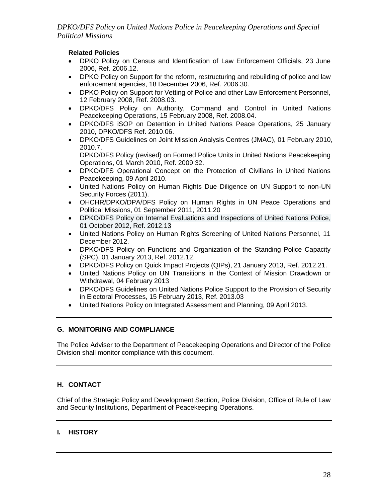# **Related Policies**

- DPKO Policy on Census and Identification of Law Enforcement Officials, 23 June 2006, Ref. 2006.12.
- DPKO Policy on Support for the reform, restructuring and rebuilding of police and law enforcement agencies, 18 December 2006, Ref. 2006.30.
- DPKO Policy on Support for Vetting of Police and other Law Enforcement Personnel, 12 February 2008, Ref. 2008.03.
- DPKO/DFS Policy on Authority, Command and Control in United Nations Peacekeeping Operations, 15 February 2008, Ref. 2008.04.
- DPKO/DFS iSOP on Detention in United Nations Peace Operations, 25 January 2010, DPKO/DFS Ref. 2010.06.
- DPKO/DFS Guidelines on Joint Mission Analysis Centres (JMAC), 01 February 2010, 2010.7.

DPKO/DFS Policy (revised) on Formed Police Units in United Nations Peacekeeping Operations, 01 March 2010, Ref. 2009.32.

- DPKO/DFS Operational Concept on the Protection of Civilians in United Nations Peacekeeping, 09 April 2010.
- United Nations Policy on Human Rights Due Diligence on UN Support to non-UN Security Forces (2011).
- OHCHR/DPKO/DPA/DFS Policy on Human Rights in UN Peace Operations and Political Missions, 01 September 2011, 2011.20
- DPKO/DFS Policy on Internal Evaluations and Inspections of United Nations Police, 01 October 2012, Ref. 2012.13
- United Nations Policy on Human Rights Screening of United Nations Personnel, 11 December 2012.
- DPKO/DFS Policy on Functions and Organization of the Standing Police Capacity (SPC), 01 January 2013, Ref. 2012.12.
- DPKO/DFS Policy on Quick Impact Projects (QIPs), 21 January 2013, Ref. 2012.21.
- United Nations Policy on UN Transitions in the Context of Mission Drawdown or Withdrawal, 04 February 2013
- DPKO/DFS Guidelines on United Nations Police Support to the Provision of Security in Electoral Processes, 15 February 2013, Ref. 2013.03
- United Nations Policy on Integrated Assessment and Planning, 09 April 2013.

### **G. MONITORING AND COMPLIANCE**

The Police Adviser to the Department of Peacekeeping Operations and Director of the Police Division shall monitor compliance with this document.

# **H. CONTACT**

Chief of the Strategic Policy and Development Section, Police Division, Office of Rule of Law and Security Institutions, Department of Peacekeeping Operations.

### **I. HISTORY**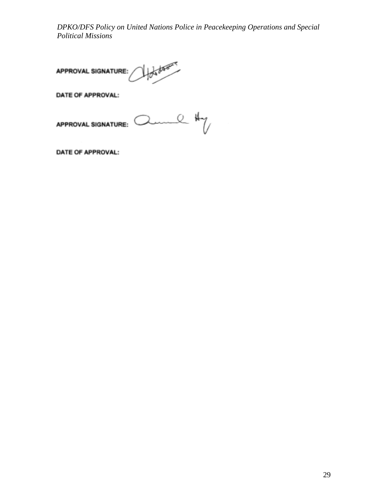of door **APPROVAL SIGNATURE:** 

**DATE OF APPROVAL:** 

me Hy APPROVAL SIGNATURE:

DATE OF APPROVAL: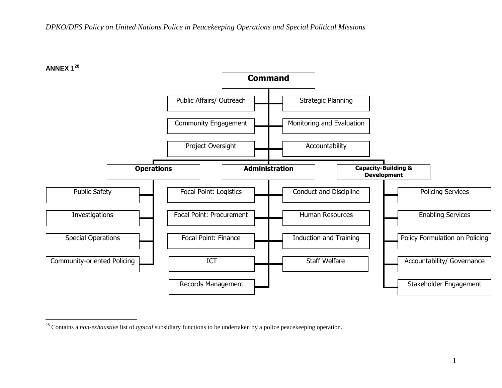

<sup>28</sup> Contains a *non-exhaustive* list of *typical* subsidiary functions to be undertaken by a police peacekeeping operation.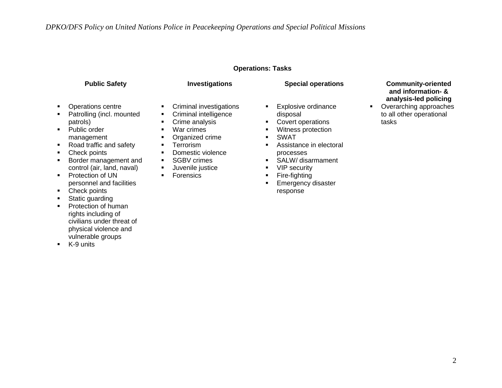#### **Operations: Tasks**

- Operations centre
- Patrolling (incl. mounted patrols)
- Public order management
- Road traffic and safety
- Check points
- **Border management and** control (air, land, naval)
- **•** Protection of UN personnel and facilities
- Check points
- Static guarding
- Protection of human rights including of civilians under threat of physical violence and vulnerable groups
- **K-9 units**
- **Criminal investigations**
- **•** Criminal intelligence
- **Crime analysis**
- War crimes
- **•** Organized crime
- **Terrorism**
- **•** Domestic violence
- **SGBV crimes**
- **Juvenile justice**
- **Forensics**
- **Explosive ordinance** disposal
- **Covert operations**
- **Witness protection**
- SWAT
- **Assistance in electoral** processes
- **SALW/** disarmament
- **•** VIP security
- **Fire-fighting**
- **Emergency disaster** response

#### **Public Safety Investigations Special operations Community-oriented and information- & analysis-led policing**

• Overarching approaches to all other operational tasks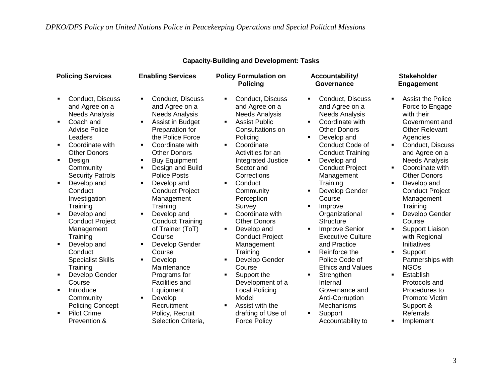| <b>Policing Services</b>                                                                                                                                                                                                                                                                                                                                                                                                                                                                                                                                                                                                       | <b>Enabling Services</b>                                                                                                                                                                                                                                                                                                                                                                                                                                                                                                                                                                                                | <b>Policy Formulation on</b><br><b>Policing</b>                                                                                                                                                                                                                                                                                                                                                                                                                                                                                                                                                                                         | Accountability/<br>Governance                                                                                                                                                                                                                                                                                                                                                                                                                                                                                                                                                                                                                                                                  | <b>Stakeholder</b><br><b>Engagement</b>                                                                                                                                                                                                                                                                                                                                                                                                                                                                                                                                |
|--------------------------------------------------------------------------------------------------------------------------------------------------------------------------------------------------------------------------------------------------------------------------------------------------------------------------------------------------------------------------------------------------------------------------------------------------------------------------------------------------------------------------------------------------------------------------------------------------------------------------------|-------------------------------------------------------------------------------------------------------------------------------------------------------------------------------------------------------------------------------------------------------------------------------------------------------------------------------------------------------------------------------------------------------------------------------------------------------------------------------------------------------------------------------------------------------------------------------------------------------------------------|-----------------------------------------------------------------------------------------------------------------------------------------------------------------------------------------------------------------------------------------------------------------------------------------------------------------------------------------------------------------------------------------------------------------------------------------------------------------------------------------------------------------------------------------------------------------------------------------------------------------------------------------|------------------------------------------------------------------------------------------------------------------------------------------------------------------------------------------------------------------------------------------------------------------------------------------------------------------------------------------------------------------------------------------------------------------------------------------------------------------------------------------------------------------------------------------------------------------------------------------------------------------------------------------------------------------------------------------------|------------------------------------------------------------------------------------------------------------------------------------------------------------------------------------------------------------------------------------------------------------------------------------------------------------------------------------------------------------------------------------------------------------------------------------------------------------------------------------------------------------------------------------------------------------------------|
| Conduct, Discuss<br>$\blacksquare$<br>and Agree on a<br><b>Needs Analysis</b><br>Coach and<br>$\blacksquare$<br><b>Advise Police</b><br>Leaders<br>Coordinate with<br>$\blacksquare$<br><b>Other Donors</b><br>Design<br>٠<br>Community<br><b>Security Patrols</b><br>Develop and<br>Conduct<br>Investigation<br>Training<br>Develop and<br>$\blacksquare$<br><b>Conduct Project</b><br>Management<br>Training<br>Develop and<br>$\blacksquare$<br>Conduct<br><b>Specialist Skills</b><br>Training<br>Develop Gender<br>Course<br>Introduce<br>Community<br><b>Policing Concept</b><br><b>Pilot Crime</b><br>٠<br>Prevention & | Conduct, Discuss<br>$\blacksquare$<br>and Agree on a<br><b>Needs Analysis</b><br>Assist in Budget<br>٠<br>Preparation for<br>the Police Force<br>Coordinate with<br>٠.<br><b>Other Donors</b><br><b>Buy Equipment</b><br>٠<br>Design and Build<br>٠<br>Police Posts<br>Develop and<br>٠<br><b>Conduct Project</b><br>Management<br>Training<br>Develop and<br>٠<br><b>Conduct Training</b><br>of Trainer (ToT)<br>Course<br>Develop Gender<br>٠<br>Course<br>Develop<br>٠<br>Maintenance<br>Programs for<br><b>Facilities and</b><br>Equipment<br>Develop<br>٠<br>Recruitment<br>Policy, Recruit<br>Selection Criteria, | Conduct, Discuss<br>$\blacksquare$<br>and Agree on a<br><b>Needs Analysis</b><br><b>Assist Public</b><br>Consultations on<br>Policing<br>Coordinate<br>$\blacksquare$<br>Activities for an<br>Integrated Justice<br>Sector and<br>Corrections<br>Conduct<br>Community<br>Perception<br>Survey<br>Coordinate with<br>٠.<br><b>Other Donors</b><br>Develop and<br>$\blacksquare$<br><b>Conduct Project</b><br>Management<br>Training<br>Develop Gender<br>$\blacksquare$<br>Course<br>Support the<br>Development of a<br><b>Local Policing</b><br>Model<br>Assist with the<br>$\blacksquare$<br>drafting of Use of<br><b>Force Policy</b> | Conduct, Discuss<br>$\blacksquare$<br>and Agree on a<br><b>Needs Analysis</b><br>Coordinate with<br><b>Other Donors</b><br>Develop and<br>٠<br>Conduct Code of<br><b>Conduct Training</b><br>Develop and<br>$\blacksquare$<br><b>Conduct Project</b><br>Management<br>Training<br>Develop Gender<br>$\blacksquare$<br>Course<br>Improve<br>٠<br>Organizational<br><b>Structure</b><br><b>Improve Senior</b><br>$\blacksquare$<br><b>Executive Culture</b><br>and Practice<br>Reinforce the<br>$\blacksquare$<br>Police Code of<br><b>Ethics and Values</b><br>Strengthen<br>٠<br>Internal<br>Governance and<br>Anti-Corruption<br>Mechanisms<br>Support<br>$\blacksquare$<br>Accountability to | <b>Assist the Police</b><br>$\blacksquare$<br>Force to Engage<br>with their<br>Government and<br><b>Other Relevant</b><br>Agencies<br>Conduct, Discuss<br>٠.<br>and Agree on a<br><b>Needs Analysis</b><br>Coordinate with<br><b>Other Donors</b><br>Develop and<br><b>Conduct Project</b><br>Management<br>Training<br>Develop Gender<br>Course<br>Support Liaison<br>with Regional<br>Initiatives<br>٠<br>Support<br>Partnerships with<br><b>NGOs</b><br>Establish<br>Protocols and<br>Procedures to<br>Promote Victim<br>Support &<br><b>Referrals</b><br>Implement |

# **Capacity-Building and Development: Tasks**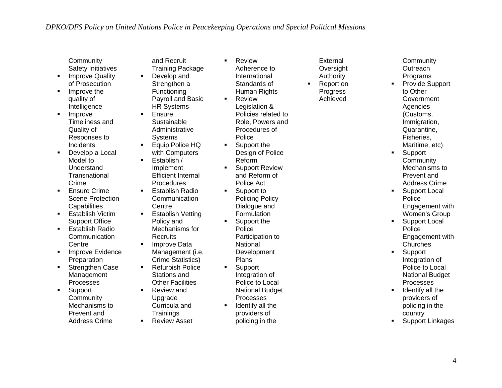- **Community** Safety Initiatives
- **Improve Quality** of Prosecution
- **Improve the** quality of **Intelligence**
- **Improve** Timeliness and Quality of Responses to **Incidents**
- **Develop a Local** Model to Understand **Transnational** Crime
- **Ensure Crime** Scene Protection **Capabilities**
- **Establish Victim** Support Office
- **Establish Radio Communication** Centre
- **Improve Evidence Preparation**
- **Strengthen Case** Management Processes
- **Support Community** Mechanisms to Prevent and Address Crime

and Recruit Training Package **Develop and** Strengthen a

- Functioning Payroll and Basic HR Systems
- **Ensure** Sustainable Administrative
- **Systems Equip Police HQ** with Computers
- $\blacksquare$  Establish / Implement Efficient Internal **Procedures**
- $\blacksquare$  Establish Radio **Communication Centre**
- **Establish Vetting** Policy and Mechanisms for
- Recruits **Improve Data** Management (i.e.
- Crime Statistics) ■ Refurbish Police Stations and
- Other Facilities ■ Review and Upgrade Curricula and
- **Trainings Review Asset**
- **Review** Adherence to International Standards of Human Rights **Review** Legislation & Policies related to Role, Powers and Procedures of
	- Police **Support the** Design of Police Reform
		- **Support Review** and Reform of Police Act
		- **Support to** Policing Policy Dialogue and Formulation
		- **Support the Police** Participation to **National Development** Plans
		- **Support** Integration of Police to Local National Budget Processes
		- $\blacksquare$  Identify all the providers of policing in the
- **External Oversight** Authority ■ Report on Progress
	- Achieved
- **Community Outreach Programs**
- **Provide Support** to Other Government **Agencies** (Customs, Immigration, Quarantine, Fisheries, Maritime, etc)
- **Support Community** Mechanisms to Prevent and Address Crime
- **Support Local** Police Engagement with Women's Group
- **Support Local** Police Engagement with **Churches**
- **Support** Integration of Police to Local National Budget Processes
- $\blacksquare$  Identify all the providers of policing in the country
- **Support Linkages**